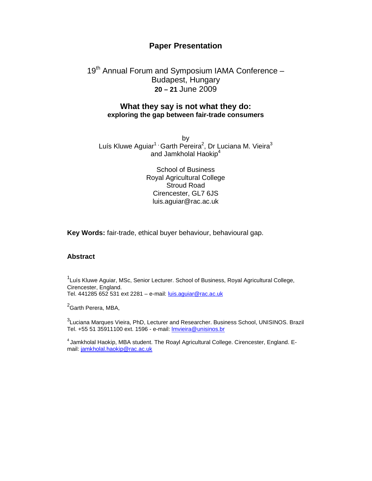# **Paper Presentation**

# 19<sup>th</sup> Annual Forum and Symposium IAMA Conference -Budapest, Hungary **20 – 21** June 2009

## **What they say is not what they do: exploring the gap between fair-trade consumers**

by Luís Kluwe Aguiar<sup>1,</sup> Garth Pereira<sup>2</sup>, Dr Luciana M. Vieira<sup>3</sup> and Jamkholal Haokip<sup>4</sup>

> School of Business Royal Agricultural College Stroud Road Cirencester, GL7 6JS luis.aguiar@rac.ac.uk

**Key Words:** fair-trade, ethical buyer behaviour, behavioural gap.

#### **Abstract**

<sup>1</sup>Luís Kluwe Aguiar, MSc, Senior Lecturer. School of Business, Royal Agricultural College, Cirencester, England. Tel. 441285 652 531 ext 2281 – e-mail: luis.aguiar@rac.ac.uk

<sup>2</sup>Garth Perera, MBA,

 $^3$ Luciana Marques Vieira, PhD, Lecturer and Researcher. Business School, UNISINOS. Brazil Tel. +55 51 35911100 ext. 1596 - e-mail: lmvieira@unisinos.br

<sup>4</sup> Jamkholal Haokip, MBA student. The Roayl Agricultural College. Cirencester, England. Email: jamkholal.haokip@rac.ac.uk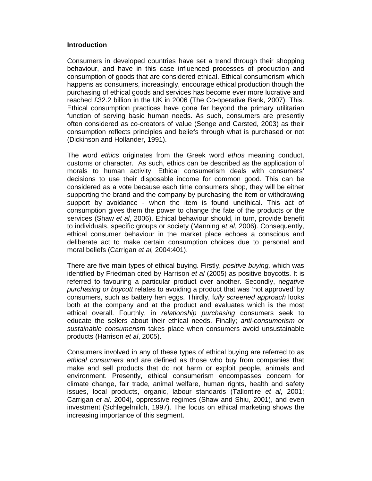#### **Introduction**

Consumers in developed countries have set a trend through their shopping behaviour, and have in this case influenced processes of production and consumption of goods that are considered ethical. Ethical consumerism which happens as consumers, increasingly, encourage ethical production though the purchasing of ethical goods and services has become ever more lucrative and reached £32.2 billion in the UK in 2006 (The Co-operative Bank, 2007). This. Ethical consumption practices have gone far beyond the primary utilitarian function of serving basic human needs. As such, consumers are presently often considered as co-creators of value (Senge and Carsted, 2003) as their consumption reflects principles and beliefs through what is purchased or not (Dickinson and Hollander, 1991).

The word ethics originates from the Greek word ethos meaning conduct, customs or character. As such, ethics can be described as the application of morals to human activity. Ethical consumerism deals with consumers' decisions to use their disposable income for common good. This can be considered as a vote because each time consumers shop, they will be either supporting the brand and the company by purchasing the item or withdrawing support by avoidance - when the item is found unethical. This act of consumption gives them the power to change the fate of the products or the services (Shaw et al, 2006). Ethical behaviour should, in turn, provide benefit to individuals, specific groups or society (Manning et al, 2006). Consequently, ethical consumer behaviour in the market place echoes a conscious and deliberate act to make certain consumption choices due to personal and moral beliefs (Carrigan et al, 2004:401).

There are five main types of ethical buying. Firstly, positive buying, which was identified by Friedman cited by Harrison et al (2005) as positive boycotts. It is referred to favouring a particular product over another. Secondly, negative purchasing or boycott relates to avoiding a product that was 'not approved' by consumers, such as battery hen eggs. Thirdly, fully screened approach looks both at the company and at the product and evaluates which is the most ethical overall. Fourthly, in relationship purchasing consumers seek to educate the sellers about their ethical needs. Finally; anti-consumerism or sustainable consumerism takes place when consumers avoid unsustainable products (Harrison et al, 2005).

Consumers involved in any of these types of ethical buying are referred to as ethical consumers and are defined as those who buy from companies that make and sell products that do not harm or exploit people, animals and environment. Presently, ethical consumerism encompasses concern for climate change, fair trade, animal welfare, human rights, health and safety issues, local products, organic, labour standards (Tallontire et al, 2001; Carrigan et al, 2004), oppressive regimes (Shaw and Shiu, 2001), and even investment (Schlegelmilch, 1997). The focus on ethical marketing shows the increasing importance of this segment.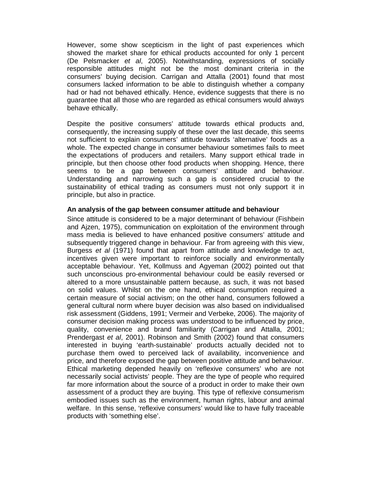However, some show scepticism in the light of past experiences which showed the market share for ethical products accounted for only 1 percent (De Pelsmacker et al, 2005). Notwithstanding, expressions of socially responsible attitudes might not be the most dominant criteria in the consumers' buying decision. Carrigan and Attalla (2001) found that most consumers lacked information to be able to distinguish whether a company had or had not behaved ethically. Hence, evidence suggests that there is no guarantee that all those who are regarded as ethical consumers would always behave ethically.

Despite the positive consumers' attitude towards ethical products and, consequently, the increasing supply of these over the last decade, this seems not sufficient to explain consumers' attitude towards 'alternative' foods as a whole. The expected change in consumer behaviour sometimes fails to meet the expectations of producers and retailers. Many support ethical trade in principle, but then choose other food products when shopping. Hence, there seems to be a gap between consumers' attitude and behaviour. Understanding and narrowing such a gap is considered crucial to the sustainability of ethical trading as consumers must not only support it in principle, but also in practice.

#### **An analysis of the gap between consumer attitude and behaviour**

Since attitude is considered to be a major determinant of behaviour (Fishbein and Ajzen, 1975), communication on exploitation of the environment through mass media is believed to have enhanced positive consumers' attitude and subsequently triggered change in behaviour. Far from agreeing with this view, Burgess et al (1971) found that apart from attitude and knowledge to act, incentives given were important to reinforce socially and environmentally acceptable behaviour. Yet, Kollmuss and Agyeman (2002) pointed out that such unconscious pro-environmental behaviour could be easily reversed or altered to a more unsustainable pattern because, as such, it was not based on solid values. Whilst on the one hand, ethical consumption required a certain measure of social activism; on the other hand, consumers followed a general cultural norm where buyer decision was also based on individualised risk assessment (Giddens, 1991; Vermeir and Verbeke, 2006). The majority of consumer decision making process was understood to be influenced by price, quality, convenience and brand familiarity (Carrigan and Attalla, 2001; Prendergast et al, 2001). Robinson and Smith (2002) found that consumers interested in buying 'earth-sustainable' products actually decided not to purchase them owed to perceived lack of availability, inconvenience and price, and therefore exposed the gap between positive attitude and behaviour. Ethical marketing depended heavily on 'reflexive consumers' who are not necessarily social activists' people. They are the type of people who required far more information about the source of a product in order to make their own assessment of a product they are buying. This type of reflexive consumerism embodied issues such as the environment, human rights, labour and animal welfare. In this sense, 'reflexive consumers' would like to have fully traceable products with 'something else'.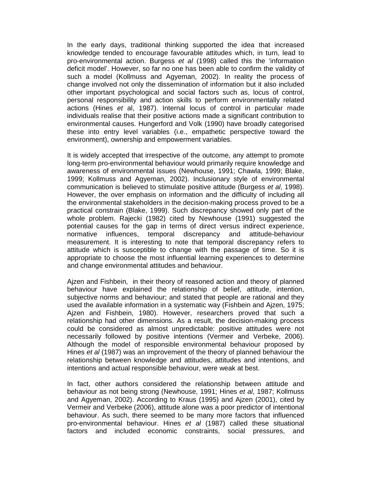In the early days, traditional thinking supported the idea that increased knowledge tended to encourage favourable attitudes which, in turn, lead to pro-environmental action. Burgess et al (1998) called this the 'information deficit model'. However, so far no one has been able to confirm the validity of such a model (Kollmuss and Agyeman, 2002). In reality the process of change involved not only the dissemination of information but it also included other important psychological and social factors such as, locus of control, personal responsibility and action skills to perform environmentally related actions (Hines et al, 1987). Internal locus of control in particular made individuals realise that their positive actions made a significant contribution to environmental causes. Hungerford and Volk (1990) have broadly categorised these into entry level variables (i.e., empathetic perspective toward the environment), ownership and empowerment variables.

It is widely accepted that irrespective of the outcome, any attempt to promote long-term pro-environmental behaviour would primarily require knowledge and awareness of environmental issues (Newhouse, 1991; Chawla, 1999; Blake, 1999; Kollmuss and Agyeman, 2002). Inclusionary style of environmental communication is believed to stimulate positive attitude (Burgess et al, 1998). However, the over emphasis on information and the difficulty of including all the environmental stakeholders in the decision-making process proved to be a practical constrain (Blake, 1999). Such discrepancy showed only part of the whole problem. Rajecki (1982) cited by Newhouse (1991) suggested the potential causes for the gap in terms of direct versus indirect experience, normative influences, temporal discrepancy and attitude-behaviour measurement. It is interesting to note that temporal discrepancy refers to attitude which is susceptible to change with the passage of time. So it is appropriate to choose the most influential learning experiences to determine and change environmental attitudes and behaviour.

Ajzen and Fishbein, in their theory of reasoned action and theory of planned behaviour have explained the relationship of belief, attitude, intention, subjective norms and behaviour; and stated that people are rational and they used the available information in a systematic way (Fishbein and Ajzen, 1975; Ajzen and Fishbein, 1980). However, researchers proved that such a relationship had other dimensions. As a result, the decision-making process could be considered as almost unpredictable: positive attitudes were not necessarily followed by positive intentions (Vermeir and Verbeke, 2006). Although the model of responsible environmental behaviour proposed by Hines et al (1987) was an improvement of the theory of planned behaviour the relationship between knowledge and attitudes, attitudes and intentions, and intentions and actual responsible behaviour, were weak at best.

In fact, other authors considered the relationship between attitude and behaviour as not being strong (Newhouse, 1991; Hines et al, 1987; Kollmuss and Agyeman, 2002). According to Kraus (1995) and Ajzen (2001), cited by Vermeir and Verbeke (2006), attitude alone was a poor predictor of intentional behaviour. As such, there seemed to be many more factors that influenced pro-environmental behaviour. Hines et al (1987) called these situational factors and included economic constraints, social pressures, and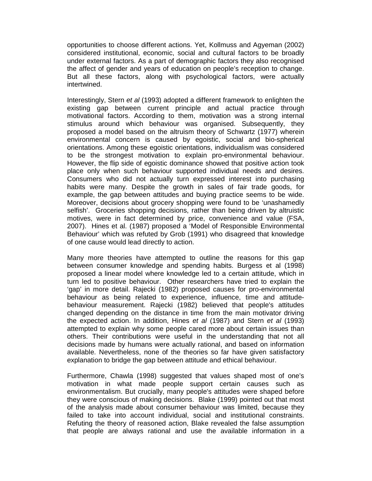opportunities to choose different actions. Yet, Kollmuss and Agyeman (2002) considered institutional, economic, social and cultural factors to be broadly under external factors. As a part of demographic factors they also recognised the affect of gender and years of education on people's reception to change. But all these factors, along with psychological factors, were actually intertwined.

Interestingly, Stern et al (1993) adopted a different framework to enlighten the existing gap between current principle and actual practice through motivational factors. According to them, motivation was a strong internal stimulus around which behaviour was organised. Subsequently, they proposed a model based on the altruism theory of Schwartz (1977) wherein environmental concern is caused by egoistic, social and bio-spherical orientations. Among these egoistic orientations, individualism was considered to be the strongest motivation to explain pro-environmental behaviour. However, the flip side of egoistic dominance showed that positive action took place only when such behaviour supported individual needs and desires. Consumers who did not actually turn expressed interest into purchasing habits were many. Despite the growth in sales of fair trade goods, for example, the gap between attitudes and buying practice seems to be wide. Moreover, decisions about grocery shopping were found to be 'unashamedly selfish'. Groceries shopping decisions, rather than being driven by altruistic motives, were in fact determined by price, convenience and value (FSA, 2007). Hines et al. (1987) proposed a 'Model of Responsible Environmental Behaviour' which was refuted by Grob (1991) who disagreed that knowledge of one cause would lead directly to action.

Many more theories have attempted to outline the reasons for this gap between consumer knowledge and spending habits. Burgess et al (1998) proposed a linear model where knowledge led to a certain attitude, which in turn led to positive behaviour. Other researchers have tried to explain the 'gap' in more detail. Rajecki (1982) proposed causes for pro-environmental behaviour as being related to experience, influence, time and attitudebehaviour measurement. Rajecki (1982) believed that people's attitudes changed depending on the distance in time from the main motivator driving the expected action. In addition, Hines et al (1987) and Stern et al (1993) attempted to explain why some people cared more about certain issues than others. Their contributions were useful in the understanding that not all decisions made by humans were actually rational, and based on information available. Nevertheless, none of the theories so far have given satisfactory explanation to bridge the gap between attitude and ethical behaviour.

Furthermore, Chawla (1998) suggested that values shaped most of one's motivation in what made people support certain causes such as environmentalism. But crucially, many people's attitudes were shaped before they were conscious of making decisions. Blake (1999) pointed out that most of the analysis made about consumer behaviour was limited, because they failed to take into account individual, social and institutional constraints. Refuting the theory of reasoned action, Blake revealed the false assumption that people are always rational and use the available information in a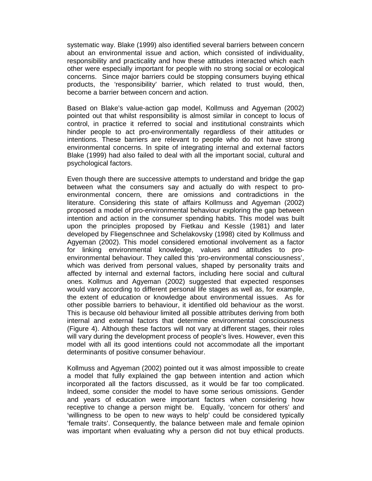systematic way. Blake (1999) also identified several barriers between concern about an environmental issue and action, which consisted of individuality, responsibility and practicality and how these attitudes interacted which each other were especially important for people with no strong social or ecological concerns. Since major barriers could be stopping consumers buying ethical products, the 'responsibility' barrier, which related to trust would, then, become a barrier between concern and action.

Based on Blake's value-action gap model, Kollmuss and Agyeman (2002) pointed out that whilst responsibility is almost similar in concept to locus of control, in practice it referred to social and institutional constraints which hinder people to act pro-environmentally regardless of their attitudes or intentions. These barriers are relevant to people who do not have strong environmental concerns. In spite of integrating internal and external factors Blake (1999) had also failed to deal with all the important social, cultural and psychological factors.

Even though there are successive attempts to understand and bridge the gap between what the consumers say and actually do with respect to proenvironmental concern, there are omissions and contradictions in the literature. Considering this state of affairs Kollmuss and Agyeman (2002) proposed a model of pro-environmental behaviour exploring the gap between intention and action in the consumer spending habits. This model was built upon the principles proposed by Fietkau and Kessle (1981) and later developed by Fliegenschnee and Schelakovsky (1998) cited by Kollmuss and Agyeman (2002). This model considered emotional involvement as a factor for linking environmental knowledge, values and attitudes to proenvironmental behaviour. They called this 'pro-environmental consciousness', which was derived from personal values, shaped by personality traits and affected by internal and external factors, including here social and cultural ones. Kollmus and Agyeman (2002) suggested that expected responses would vary according to different personal life stages as well as, for example, the extent of education or knowledge about environmental issues. As for other possible barriers to behaviour, it identified old behaviour as the worst. This is because old behaviour limited all possible attributes deriving from both internal and external factors that determine environmental consciousness (Figure 4). Although these factors will not vary at different stages, their roles will vary during the development process of people's lives. However, even this model with all its good intentions could not accommodate all the important determinants of positive consumer behaviour.

Kollmuss and Agyeman (2002) pointed out it was almost impossible to create a model that fully explained the gap between intention and action which incorporated all the factors discussed, as it would be far too complicated. Indeed, some consider the model to have some serious omissions. Gender and years of education were important factors when considering how receptive to change a person might be. Equally, 'concern for others' and 'willingness to be open to new ways to help' could be considered typically 'female traits'. Consequently, the balance between male and female opinion was important when evaluating why a person did not buy ethical products.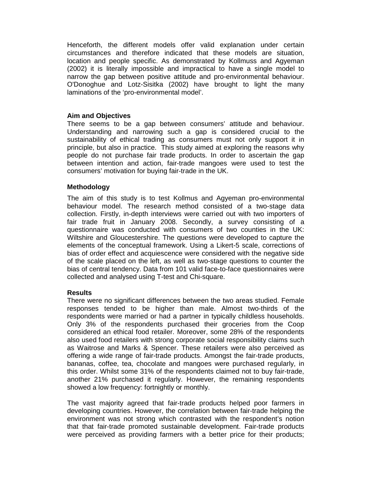Henceforth, the different models offer valid explanation under certain circumstances and therefore indicated that these models are situation, location and people specific. As demonstrated by Kollmuss and Agyeman (2002) it is literally impossible and impractical to have a single model to narrow the gap between positive attitude and pro-environmental behaviour. O'Donoghue and Lotz-Sisitka (2002) have brought to light the many laminations of the 'pro-environmental model'.

#### **Aim and Objectives**

There seems to be a gap between consumers' attitude and behaviour. Understanding and narrowing such a gap is considered crucial to the sustainability of ethical trading as consumers must not only support it in principle, but also in practice. This study aimed at exploring the reasons why people do not purchase fair trade products. In order to ascertain the gap between intention and action, fair-trade mangoes were used to test the consumers' motivation for buying fair-trade in the UK.

#### **Methodology**

The aim of this study is to test Kollmus and Agyeman pro-environmental behaviour model. The research method consisted of a two-stage data collection. Firstly, in-depth interviews were carried out with two importers of fair trade fruit in January 2008. Secondly, a survey consisting of a questionnaire was conducted with consumers of two counties in the UK: Wiltshire and Gloucestershire. The questions were developed to capture the elements of the conceptual framework. Using a Likert-5 scale, corrections of bias of order effect and acquiescence were considered with the negative side of the scale placed on the left, as well as two-stage questions to counter the bias of central tendency. Data from 101 valid face-to-face questionnaires were collected and analysed using T-test and Chi-square.

#### **Results**

There were no significant differences between the two areas studied. Female responses tended to be higher than male. Almost two-thirds of the respondents were married or had a partner in typically childless households. Only 3% of the respondents purchased their groceries from the Coop considered an ethical food retailer. Moreover, some 28% of the respondents also used food retailers with strong corporate social responsibility claims such as Waitrose and Marks & Spencer. These retailers were also perceived as offering a wide range of fair-trade products. Amongst the fair-trade products, bananas, coffee, tea, chocolate and mangoes were purchased regularly, in this order. Whilst some 31% of the respondents claimed not to buy fair-trade, another 21% purchased it regularly. However, the remaining respondents showed a low frequency: fortnightly or monthly.

The vast majority agreed that fair-trade products helped poor farmers in developing countries. However, the correlation between fair-trade helping the environment was not strong which contrasted with the respondent's notion that that fair-trade promoted sustainable development. Fair-trade products were perceived as providing farmers with a better price for their products;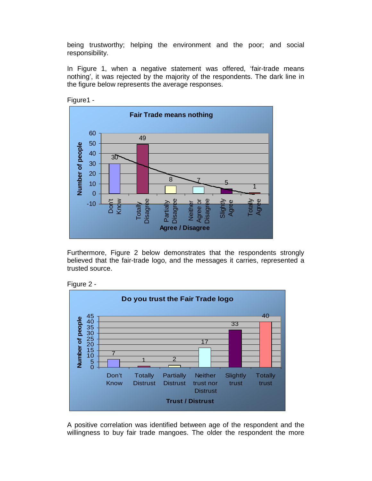being trustworthy; helping the environment and the poor; and social responsibility.

In Figure 1, when a negative statement was offered, 'fair-trade means nothing', it was rejected by the majority of the respondents. The dark line in the figure below represents the average responses.



Figure1 -

Furthermore, Figure 2 below demonstrates that the respondents strongly believed that the fair-trade logo, and the messages it carries, represented a trusted source.





A positive correlation was identified between age of the respondent and the willingness to buy fair trade mangoes. The older the respondent the more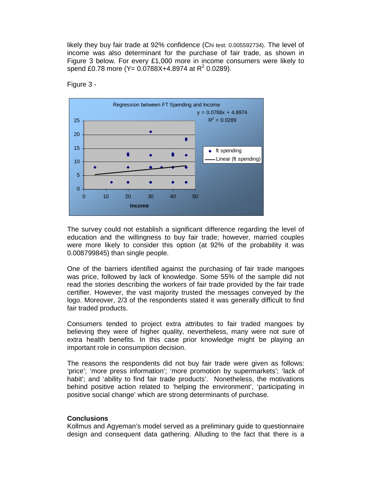likely they buy fair trade at 92% confidence (Chi test: 0.005592734). The level of income was also determinant for the purchase of fair trade, as shown in Figure 3 below. For every £1,000 more in income consumers were likely to spend £0.78 more (Y=  $0.0788X + 4.8974$  at R<sup>2</sup> 0.0289).



Figure 3 -

The survey could not establish a significant difference regarding the level of education and the willingness to buy fair trade; however, married couples were more likely to consider this option (at 92% of the probability it was 0.008799845) than single people.

One of the barriers identified against the purchasing of fair trade mangoes was price, followed by lack of knowledge. Some 55% of the sample did not read the stories describing the workers of fair trade provided by the fair trade certifier. However, the vast majority trusted the messages conveyed by the logo. Moreover, 2/3 of the respondents stated it was generally difficult to find fair traded products.

Consumers tended to project extra attributes to fair traded mangoes by believing they were of higher quality, nevertheless, many were not sure of extra health benefits. In this case prior knowledge might be playing an important role in consumption decision.

The reasons the respondents did not buy fair trade were given as follows: 'price'; 'more press information'; 'more promotion by supermarkets'; 'lack of habit'; and 'ability to find fair trade products'. Nonetheless, the motivations behind positive action related to 'helping the environment', 'participating in positive social change' which are strong determinants of purchase.

#### **Conclusions**

Kollmus and Agyeman's model served as a preliminary guide to questionnaire design and consequent data gathering. Alluding to the fact that there is a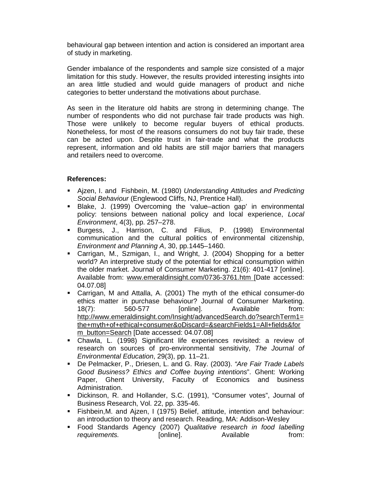behavioural gap between intention and action is considered an important area of study in marketing.

Gender imbalance of the respondents and sample size consisted of a major limitation for this study. However, the results provided interesting insights into an area little studied and would guide managers of product and niche categories to better understand the motivations about purchase.

As seen in the literature old habits are strong in determining change. The number of respondents who did not purchase fair trade products was high. Those were unlikely to become regular buyers of ethical products. Nonetheless, for most of the reasons consumers do not buy fair trade, these can be acted upon. Despite trust in fair-trade and what the products represent, information and old habits are still major barriers that managers and retailers need to overcome.

### **References:**

- Aizen, I. and Fishbein, M. (1980) Understanding Attitudes and Predicting Social Behaviour (Englewood Cliffs, NJ, Prentice Hall).
- Blake, J. (1999) Overcoming the 'value–action gap' in environmental policy: tensions between national policy and local experience, Local Environment, 4(3), pp. 257–278.
- Burgess, J., Harrison, C. and Filius, P. (1998) Environmental communication and the cultural politics of environmental citizenship, Environment and Planning A, 30, pp.1445–1460.
- Carrigan, M., Szmigan, I., and Wright, J. (2004) Shopping for a better world? An interpretive study of the potential for ethical consumption within the older market. Journal of Consumer Marketing. 21(6): 401-417 [online]. Available from: www.emeraldinsight.com/0736-3761.htm [Date accessed: 04.07.08]
- Carrigan, M and Attalla, A. (2001) The myth of the ethical consumer-do ethics matter in purchase behaviour? Journal of Consumer Marketing. 18(7): 560-577 [online]. Available from: http://www.emeraldinsight.com/Insight/advancedSearch.do?searchTerm1= the+myth+of+ethical+consumer&oDiscard=&searchFields1=All+fields&for m\_button=Search [Date accessed: 04.07.08]
- Chawla, L. (1998) Significant life experiences revisited: a review of research on sources of pro-environmental sensitivity, The Journal of Environmental Education, 29(3), pp. 11–21.
- De Pelmacker, P., Driesen, L. and G. Ray. (2003). "Are Fair Trade Labels Good Business? Ethics and Coffee buying intentions". Ghent: Working Paper, Ghent University, Faculty of Economics and business Administration.
- Dickinson, R. and Hollander, S.C. (1991), "Consumer votes", Journal of Business Research, Vol. 22, pp. 335-46.
- Fishbein,M. and Ajzen, I (1975) Belief, attitude, intention and behaviour: an introduction to theory and research. Reading, MA: Addison-Wesley
- **Food Standards Agency (2007) Qualitative research in food labelling** requirements. [online]. Available from: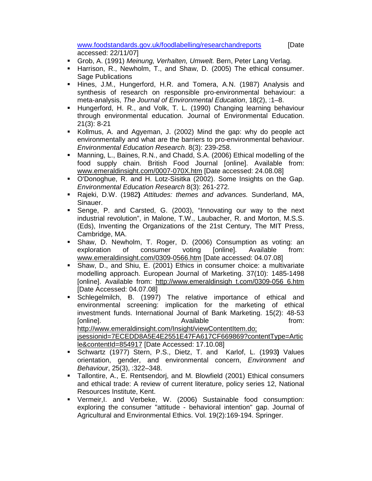www.foodstandards.gov.uk/foodlabelling/researchandreports [Date accessed: 22/11/07]

- Grob, A. (1991) Meinung, Verhalten, Umwelt. Bern, Peter Lang Verlag.
- **Harrison, R., Newholm, T., and Shaw, D. (2005) The ethical consumer.** Sage Publications
- **Hines, J.M., Hungerford, H.R. and Tomera, A.N. (1987) Analysis and** synthesis of research on responsible pro-environmental behaviour: a meta-analysis, The Journal of Environmental Education, 18(2), :1–8.
- Hungerford, H. R., and Volk, T. L. (1990) Changing learning behaviour through environmental education. Journal of Environmental Education. 21(3): 8-21
- Kollmus, A. and Agyeman, J. (2002) Mind the gap: why do people act environmentally and what are the barriers to pro-environmental behaviour. Environmental Education Research. 8(3): 239-258.
- Manning, L., Baines, R.N., and Chadd, S.A. (2006) Ethical modelling of the food supply chain. British Food Journal [online]. Available from: www.emeraldinsight.com/0007-070X.htm [Date accessed: 24.08.08]
- O'Donoghue, R. and H. Lotz-Sisitka (2002). Some Insights on the Gap. Environmental Education Research 8(3): 261-272.
- Rajeki, D.W. (1982**)** Attitudes: themes and advances. Sunderland, MA, Sinauer.
- Senge, P. and Carsted, G. (2003), "Innovating our way to the next industrial revolution", in Malone, T.W., Laubacher, R. and Morton, M.S.S. (Eds), Inventing the Organizations of the 21st Century, The MIT Press, Cambridge, MA.
- Shaw, D. Newholm, T. Roger, D. (2006) Consumption as voting: an exploration of consumer voting [online]. Available from: www.emeraldinsight.com/0309-0566.htm [Date accessed: 04.07.08]
- Shaw, D., and Shiu, E. (2001) Ethics in consumer choice: a multivariate modelling approach. European Journal of Marketing. 37(10): 1485-1498 [online]. Available from: http://www.emeraldinsigh t.com/0309-056 6.htm [Date Accessed: 04.07.08]
- Schlegelmilch, B. (1997) The relative importance of ethical and environmental screening: implication for the marketing of ethical investment funds. International Journal of Bank Marketing. 15(2): 48-53 [online]. The contract of the contract of the contract of the from: the from: the from: the from: the from: the from: the from: the from: the from: the from: the from: the from: the from: the from: the from: the from: the http://www.emeraldinsight.com/Insight/viewContentItem.do; jsessionid=7ECEDD8A5E4E2551E47FA617CF669869?contentType=Artic
- le&contentId=854917 [Date Accessed: 17.10.08] Schwartz (1977) Stern, P.S., Dietz, T. and Karlof, L. (1993**)** Values orientation, gender, and environmental concern, Environment and Behaviour, 25(3), :322–348.
- Tallontire, A., E. Rentsendorj, and M. Blowfield (2001) Ethical consumers and ethical trade: A review of current literature, policy series 12, National Resources Institute, Kent.
- Vermeir,I. and Verbeke, W. (2006) Sustainable food consumption: exploring the consumer "attitude - behavioral intention" gap. Journal of Agricultural and Environmental Ethics. Vol. 19(2):169-194. Springer.